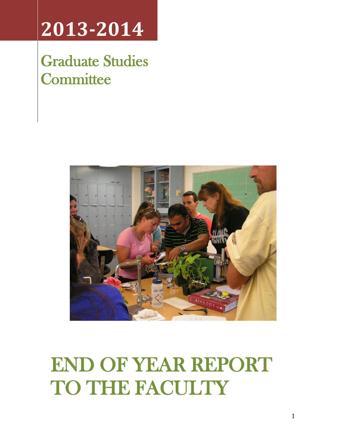# **2013-2014**

Graduate Studies **Committee** 



# END OF YEAR REPORT TO THE FACULTY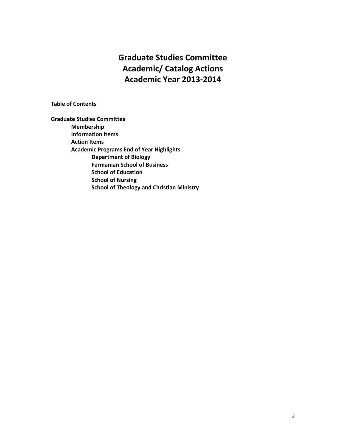## **Graduate Studies Committee Academic/ Catalog Actions Academic Year 2013-2014**

**Table of Contents**

**Graduate Studies Committee Membership Information Items Action Items Academic Programs End of Year Highlights Department of Biology Fermanian School of Business School of Education School of Nursing School of Theology and Christian Ministry**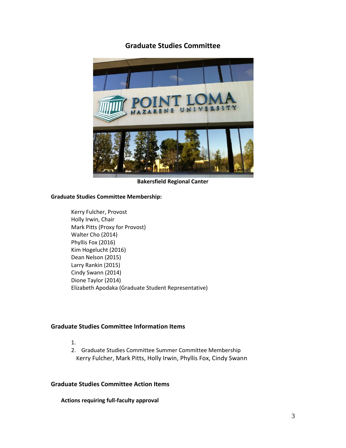## **Graduate Studies Committee**



**Bakersfield Regional Canter**

## **Graduate Studies Committee Membership:**

Kerry Fulcher, Provost Holly Irwin, Chair Mark Pitts (Proxy for Provost) Walter Cho (2014) Phyllis Fox (2016) Kim Hogelucht (2016) Dean Nelson (2015) Larry Rankin (2015) Cindy Swann (2014) Dione Taylor (2014) Elizabeth Apodaka (Graduate Student Representative)

## **Graduate Studies Committee Information Items**

- 1.
- 2. Graduate Studies Committee Summer Committee Membership Kerry Fulcher, Mark Pitts, Holly Irwin, Phyllis Fox, Cindy Swann

## **Graduate Studies Committee Action Items**

**Actions requiring full-faculty approval**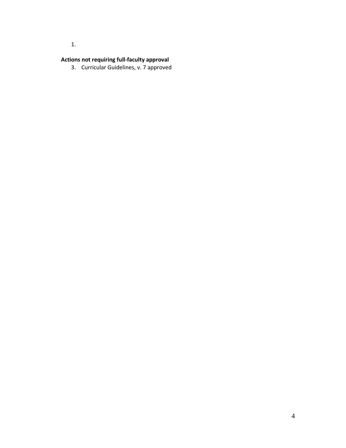1.

## **Actions not requiring full-faculty approval**

3. Curricular Guidelines, v. 7 approved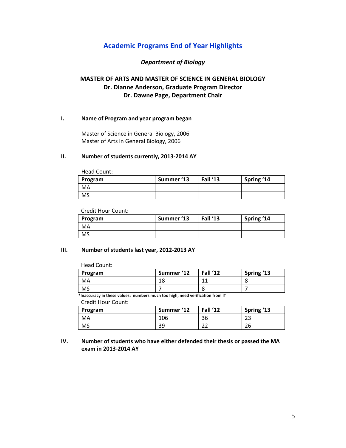## **Academic Programs End of Year Highlights**

## *Department of Biology*

## **MASTER OF ARTS AND MASTER OF SCIENCE IN GENERAL BIOLOGY Dr. Dianne Anderson, Graduate Program Director Dr. Dawne Page, Department Chair**

## **I. Name of Program and year program began**

Master of Science in General Biology, 2006 Master of Arts in General Biology, 2006

#### **II. Number of students currently, 2013-2014 AY**

Head Count:

| Program | Summer '13 | <b>Fall '13</b> | Spring '14 |
|---------|------------|-----------------|------------|
| MA      |            |                 |            |
| MS      |            |                 |            |

Credit Hour Count:

| Program   | Summer '13 | Fall '13 | Spring '14 |
|-----------|------------|----------|------------|
| MA        |            |          |            |
| <b>MS</b> |            |          |            |

#### **III. Number of students last year, 2012-2013 AY**

| Head Count: |            |          |            |  |  |
|-------------|------------|----------|------------|--|--|
| Program     | Summer '12 | Fall '12 | Spring '13 |  |  |
| MA          |            |          |            |  |  |
| MS          |            |          |            |  |  |

 **\*Inaccuracy in these values: numbers much too high, need verification from IT** Credit Hour Count:

| Program | Summer '12 | <b>Fall '12</b> | Spring '13 |
|---------|------------|-----------------|------------|
| MA      | 106        | ີ C<br>36       | າາ<br>تے   |
| MS      | 39         | ີ<br>ے ے        | ົ<br>۷b    |

**IV. Number of students who have either defended their thesis or passed the MA exam in 2013-2014 AY**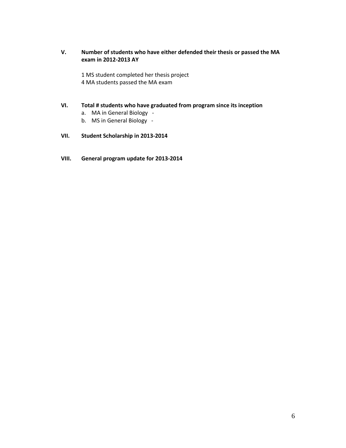## **V. Number of students who have either defended their thesis or passed the MA exam in 2012-2013 AY**

1 MS student completed her thesis project 4 MA students passed the MA exam

## **VI. Total # students who have graduated from program since its inception**

- a. MA in General Biology -
- b. MS in General Biology -

## **VII. Student Scholarship in 2013-2014**

**VIII. General program update for 2013-2014**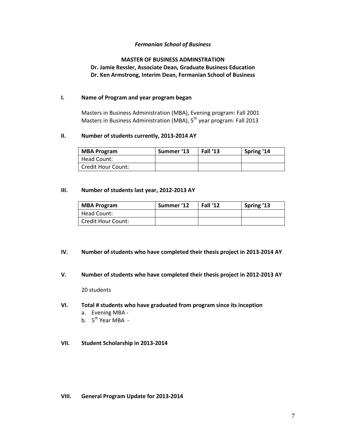#### *Fermanian School of Business*

## **MASTER OF BUSINESS ADMINSTRATION Dr. Jamie Ressler, Associate Dean, Graduate Business Education Dr. Ken Armstrong, Interim Dean, Fermanian School of Business**

#### **I. Name of Program and year program began**

Masters in Business Administration (MBA), Evening program: Fall 2001 Masters in Business Administration (MBA), 5<sup>th</sup> year program: Fall 2013

#### **II. Number of students currently, 2013-2014 AY**

| <b>MBA Program</b>        | Summer '13 | Fall '13 | Spring '14 |
|---------------------------|------------|----------|------------|
| Head Count:               |            |          |            |
| <b>Credit Hour Count:</b> |            |          |            |

#### **III. Number of students last year, 2012-2013 AY**

| <b>MBA Program</b> | Summer '12 | Fall '12 | Spring '13 |
|--------------------|------------|----------|------------|
| Head Count:        |            |          |            |
| Credit Hour Count: |            |          |            |

#### **IV. Number of students who have completed their thesis project in 2013-2014 AY**

**V. Number of students who have completed their thesis project in 2012-2013 AY** 

20 students

#### **VI. Total # students who have graduated from program since its inception**

- a. Evening MBA -
- b. 5<sup>th</sup> Year MBA -
- **VII. Student Scholarship in 2013-2014**

## **VIII. General Program Update for 2013-2014**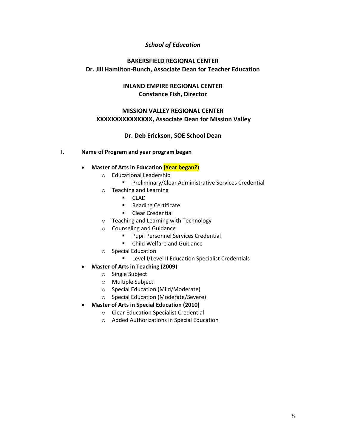## *School of Education*

## **BAKERSFIELD REGIONAL CENTER Dr. Jill Hamilton-Bunch, Associate Dean for Teacher Education**

## **INLAND EMPIRE REGIONAL CENTER Constance Fish, Director**

## **MISSION VALLEY REGIONAL CENTER XXXXXXXXXXXXXXX, Associate Dean for Mission Valley**

## **Dr. Deb Erickson, SOE School Dean**

## **I. Name of Program and year program began**

## **Master of Arts in Education (Year began?)**

- o Educational Leadership
	- **Preliminary/Clear Administrative Services Credential**
- o Teaching and Learning
	- CLAD
	- **Reading Certificate**
	- **E** Clear Credential
- o Teaching and Learning with Technology
- o Counseling and Guidance
	- **Pupil Personnel Services Credential**
	- Child Welfare and Guidance
- o Special Education
	- **E** Level I/Level II Education Specialist Credentials

## **Master of Arts in Teaching (2009)**

- o Single Subject
- o Multiple Subject
- o Special Education (Mild/Moderate)
- o Special Education (Moderate/Severe)
- **Master of Arts in Special Education (2010)**
	- o Clear Education Specialist Credential
	- o Added Authorizations in Special Education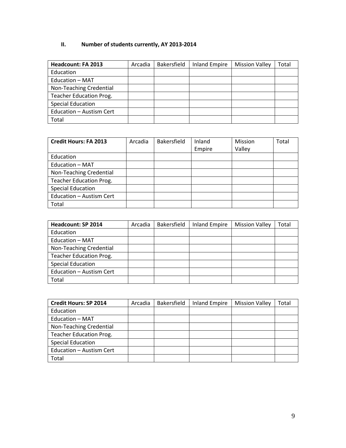## **II. Number of students currently, AY 2013-2014**

| <b>Headcount: FA 2013</b>      | Arcadia | Bakersfield | <b>Inland Empire</b> | <b>Mission Valley</b> | Total |
|--------------------------------|---------|-------------|----------------------|-----------------------|-------|
| Education                      |         |             |                      |                       |       |
| Education - MAT                |         |             |                      |                       |       |
| Non-Teaching Credential        |         |             |                      |                       |       |
| <b>Teacher Education Prog.</b> |         |             |                      |                       |       |
| <b>Special Education</b>       |         |             |                      |                       |       |
| Education - Austism Cert       |         |             |                      |                       |       |
| Total                          |         |             |                      |                       |       |

| <b>Credit Hours: FA 2013</b>   | Arcadia | Bakersfield | Inland<br>Empire | Mission<br>Valley | Total |
|--------------------------------|---------|-------------|------------------|-------------------|-------|
| Education                      |         |             |                  |                   |       |
| Education - MAT                |         |             |                  |                   |       |
| Non-Teaching Credential        |         |             |                  |                   |       |
| <b>Teacher Education Prog.</b> |         |             |                  |                   |       |
| <b>Special Education</b>       |         |             |                  |                   |       |
| Education - Austism Cert       |         |             |                  |                   |       |
| Total                          |         |             |                  |                   |       |

| <b>Headcount: SP 2014</b>      | Arcadia | Bakersfield | <b>Inland Empire</b> | <b>Mission Valley</b> | Total |
|--------------------------------|---------|-------------|----------------------|-----------------------|-------|
| Education                      |         |             |                      |                       |       |
| Education - MAT                |         |             |                      |                       |       |
| Non-Teaching Credential        |         |             |                      |                       |       |
| <b>Teacher Education Prog.</b> |         |             |                      |                       |       |
| <b>Special Education</b>       |         |             |                      |                       |       |
| Education - Austism Cert       |         |             |                      |                       |       |
| Total                          |         |             |                      |                       |       |

| <b>Credit Hours: SP 2014</b>   | Arcadia | <b>Bakersfield</b> | <b>Inland Empire</b> | <b>Mission Valley</b> | Total |
|--------------------------------|---------|--------------------|----------------------|-----------------------|-------|
| Education                      |         |                    |                      |                       |       |
| Education - MAT                |         |                    |                      |                       |       |
| Non-Teaching Credential        |         |                    |                      |                       |       |
| <b>Teacher Education Prog.</b> |         |                    |                      |                       |       |
| <b>Special Education</b>       |         |                    |                      |                       |       |
| Education - Austism Cert       |         |                    |                      |                       |       |
| Total                          |         |                    |                      |                       |       |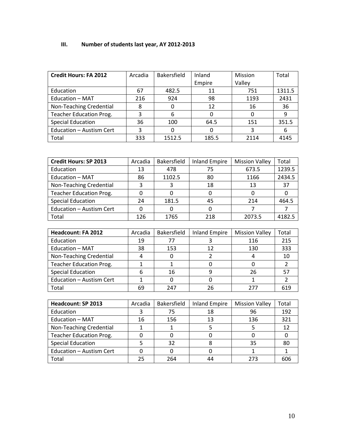## **III. Number of students last year, AY 2012-2013**

| <b>Credit Hours: FA 2012</b>   | Arcadia | Bakersfield | Inland | Mission | Total  |
|--------------------------------|---------|-------------|--------|---------|--------|
|                                |         |             | Empire | Valley  |        |
| Education                      | 67      | 482.5       | 11     | 751     | 1311.5 |
| Education - MAT                | 216     | 924         | 98     | 1193    | 2431   |
| Non-Teaching Credential        | 8       |             | 12     | 16      | 36     |
| <b>Teacher Education Prog.</b> |         | 6           |        |         | 9      |
| <b>Special Education</b>       | 36      | 100         | 64.5   | 151     | 351.5  |
| Education - Austism Cert       | 3       |             | $\cup$ |         | 6      |
| Total                          | 333     | 1512.5      | 185.5  | 2114    | 4145   |

| <b>Credit Hours: SP 2013</b>   | Arcadia | Bakersfield | <b>Inland Empire</b> | <b>Mission Valley</b> | Total  |
|--------------------------------|---------|-------------|----------------------|-----------------------|--------|
| Education                      | 13      | 478         | 75                   | 673.5                 | 1239.5 |
| Education - MAT                | 86      | 1102.5      | 80                   | 1166                  | 2434.5 |
| Non-Teaching Credential        | 3       |             | 18                   | 13                    | 37     |
| <b>Teacher Education Prog.</b> |         |             | 0                    |                       |        |
| <b>Special Education</b>       | 24      | 181.5       | 45                   | 214                   | 464.5  |
| Education - Austism Cert       |         |             | 0                    |                       |        |
| Total                          | 126     | 1765        | 218                  | 2073.5                | 4182.5 |

| <b>Headcount: FA 2012</b>      | Arcadia | Bakersfield | <b>Inland Empire</b> | <b>Mission Valley</b> | Total |
|--------------------------------|---------|-------------|----------------------|-----------------------|-------|
| Education                      | 19      |             |                      | 116                   | 215   |
| Education - MAT                | 38      | 153         | 12                   | 130                   | 333   |
| Non-Teaching Credential        |         |             |                      |                       | 10    |
| <b>Teacher Education Prog.</b> |         |             |                      |                       |       |
| <b>Special Education</b>       |         | 16          |                      | 26                    |       |
| Education - Austism Cert       |         |             |                      |                       |       |
| Total                          | 69      | 247         | 26                   | 777                   | 619   |

| <b>Headcount: SP 2013</b>      | Arcadia | Bakersfield | <b>Inland Empire</b> | <b>Mission Valley</b> | Total |
|--------------------------------|---------|-------------|----------------------|-----------------------|-------|
| Education                      |         | 75          | 18                   | 96                    | 192   |
| Education - MAT                | 16      | 156         | 13                   | 136                   | 321   |
| Non-Teaching Credential        |         |             |                      |                       | 12    |
| <b>Teacher Education Prog.</b> |         |             |                      |                       |       |
| <b>Special Education</b>       |         | 32          |                      | 35                    | 80    |
| Education - Austism Cert       |         |             |                      |                       |       |
| Total                          | 25      | 264         | 44                   | 273                   | 606   |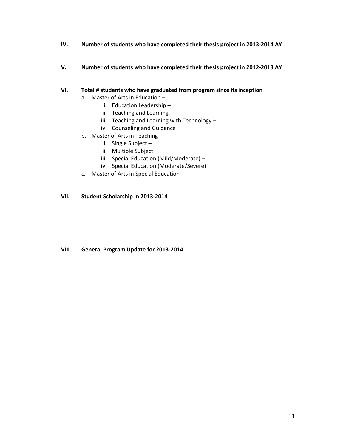- **IV. Number of students who have completed their thesis project in 2013-2014 AY**
- **V. Number of students who have completed their thesis project in 2012-2013 AY**
- **VI. Total # students who have graduated from program since its inception** 
	- a. Master of Arts in Education
		- i. Education Leadership –
		- ii. Teaching and Learning –
		- iii. Teaching and Learning with Technology –
		- iv. Counseling and Guidance –
	- b. Master of Arts in Teaching
		- i. Single Subject –
		- ii. Multiple Subject –
		- iii. Special Education (Mild/Moderate) –
		- iv. Special Education (Moderate/Severe) –
	- c. Master of Arts in Special Education -

#### **VII. Student Scholarship in 2013-2014**

**VIII. General Program Update for 2013-2014**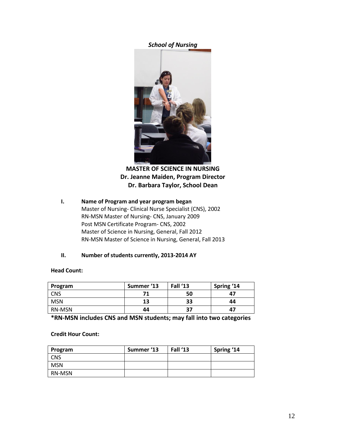*School of Nursing*



**MASTER OF SCIENCE IN NURSING Dr. Jeanne Maiden, Program Director Dr. Barbara Taylor, School Dean**

**I. Name of Program and year program began**  Master of Nursing- Clinical Nurse Specialist (CNS), 2002 RN-MSN Master of Nursing- CNS, January 2009 Post MSN Certificate Program- CNS, 2002 Master of Science in Nursing, General, Fall 2012 RN-MSN Master of Science in Nursing, General, Fall 2013

## **II. Number of students currently, 2013-2014 AY**

#### **Head Count:**

| Program       | Summer '13 | <b>Fall '13</b> | Spring '14 |
|---------------|------------|-----------------|------------|
| CNS           |            | 50              | 47         |
| <b>MSN</b>    | 13         | 33              | 44         |
| <b>RN-MSN</b> | 44         | 37              | -47        |

**\*RN-MSN includes CNS and MSN students; may fall into two categories**

## **Credit Hour Count:**

| Program       | Summer '13 | Fall '13 | Spring '14 |
|---------------|------------|----------|------------|
| CNS           |            |          |            |
| <b>MSN</b>    |            |          |            |
| <b>RN-MSN</b> |            |          |            |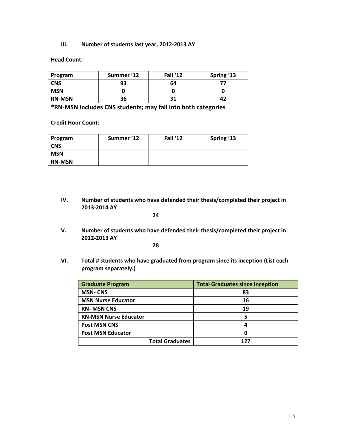**III. Number of students last year, 2012-2013 AY** 

**Head Count:**

| Program       | Summer '12 | Fall '12 | Spring '13 |
|---------------|------------|----------|------------|
| <b>CNS</b>    | 93         | 64       |            |
| <b>MSN</b>    |            |          |            |
| <b>RN-MSN</b> | 36         | 31       |            |

**\*RN-MSN includes CNS students; may fall into both categories**

**Credit Hour Count:** 

| Program       | Summer '12 | Fall '12 | Spring '13 |
|---------------|------------|----------|------------|
| <b>CNS</b>    |            |          |            |
| <b>MSN</b>    |            |          |            |
| <b>RN-MSN</b> |            |          |            |

**IV. Number of students who have defended their thesis/completed their project in 2013-2014 AY** 

**24**

**V. Number of students who have defended their thesis/completed their project in 2012-2013 AY** 

**28**

**VI. Total # students who have graduated from program since its inception (List each program separately.)**

| <b>Graduate Program</b>      | <b>Total Graduates since Inception</b> |
|------------------------------|----------------------------------------|
| <b>MSN-CNS</b>               | 83                                     |
| <b>MSN Nurse Educator</b>    | 16                                     |
| <b>RN-MSN CNS</b>            | 19                                     |
| <b>RN-MSN Nurse Educator</b> |                                        |
| <b>Post MSN CNS</b>          | л                                      |
| <b>Post MSN Educator</b>     |                                        |
| <b>Total Graduates</b>       | 177                                    |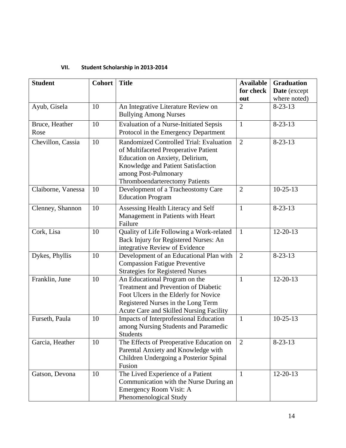| <b>Student</b>         | <b>Cohort</b> | <b>Title</b>                                                                                                                                                                                                              | <b>Available</b> | <b>Graduation</b> |
|------------------------|---------------|---------------------------------------------------------------------------------------------------------------------------------------------------------------------------------------------------------------------------|------------------|-------------------|
|                        |               |                                                                                                                                                                                                                           | for check        | Date (except      |
|                        |               |                                                                                                                                                                                                                           | out              | where noted)      |
| Ayub, Gisela           | 10            | An Integrative Literature Review on<br><b>Bullying Among Nurses</b>                                                                                                                                                       | $\overline{2}$   | $8 - 23 - 13$     |
| Bruce, Heather<br>Rose | 10            | <b>Evaluation of a Nurse-Initiated Sepsis</b><br>Protocol in the Emergency Department                                                                                                                                     | $\mathbf{1}$     | $8 - 23 - 13$     |
| Chevillon, Cassia      | 10            | Randomized Controlled Trial: Evaluation<br>of Multifaceted Preoperative Patient<br>Education on Anxiety, Delirium,<br>Knowledge and Patient Satisfaction<br>among Post-Pulmonary<br><b>Thromboendarterectomy Patients</b> | $\overline{2}$   | $8 - 23 - 13$     |
| Claiborne, Vanessa     | 10            | Development of a Tracheostomy Care<br><b>Education Program</b>                                                                                                                                                            | $\overline{2}$   | $10-25-13$        |
| Clenney, Shannon       | 10            | Assessing Health Literacy and Self<br>Management in Patients with Heart<br>Failure                                                                                                                                        | $\mathbf{1}$     | $8 - 23 - 13$     |
| Cork, Lisa             | 10            | Quality of Life Following a Work-related<br>Back Injury for Registered Nurses: An<br>integrative Review of Evidence                                                                                                       | $\mathbf{1}$     | $12 - 20 - 13$    |
| Dykes, Phyllis         | 10            | Development of an Educational Plan with<br><b>Compassion Fatigue Preventive</b><br><b>Strategies for Registered Nurses</b>                                                                                                | $\overline{2}$   | $8 - 23 - 13$     |
| Franklin, June         | 10            | An Educational Program on the<br><b>Treatment and Prevention of Diabetic</b><br>Foot Ulcers in the Elderly for Novice<br>Registered Nurses in the Long Term<br>Acute Care and Skilled Nursing Facility                    | $\mathbf{1}$     | $12 - 20 - 13$    |
| Furseth, Paula         | 10            | <b>Impacts of Interprofessional Education</b><br>among Nursing Students and Paramedic<br><b>Students</b>                                                                                                                  | $\mathbf{1}$     | $10-25-13$        |
| Garcia, Heather        | 10            | The Effects of Preoperative Education on<br>Parental Anxiety and Knowledge with<br>Children Undergoing a Posterior Spinal<br>Fusion                                                                                       | $\overline{2}$   | $8 - 23 - 13$     |
| Gatson, Devona         | 10            | The Lived Experience of a Patient<br>Communication with the Nurse During an<br>Emergency Room Visit: A<br>Phenomenological Study                                                                                          | $\mathbf{1}$     | $12 - 20 - 13$    |

## **VII. Student Scholarship in 2013-2014**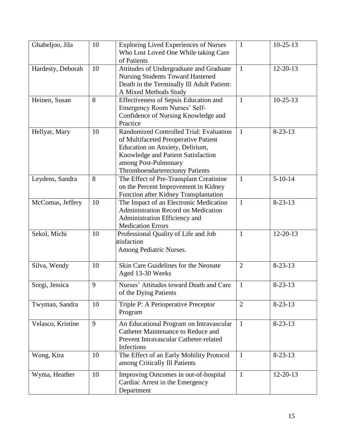| Ghabeljoo, Jila   | 10 | <b>Exploring Lived Experiences of Nurses</b>                                                                                                                                                                       | $\mathbf{1}$   | $10-25-13$     |
|-------------------|----|--------------------------------------------------------------------------------------------------------------------------------------------------------------------------------------------------------------------|----------------|----------------|
|                   |    | Who Lost Loved One While taking Care<br>of Patients                                                                                                                                                                |                |                |
| Hardesty, Deborah | 10 | Attitudes of Undergraduate and Graduate<br><b>Nursing Students Toward Hastened</b><br>Death in the Terminally Ill Adult Patient:<br>A Mixed Methods Study                                                          | 1              | $12 - 20 - 13$ |
| Heinen, Susan     | 8  | Effectiveness of Sepsis Education and<br>Emergency Room Nurses' Self-<br>Confidence of Nursing Knowledge and<br>Practice                                                                                           | $\mathbf{1}$   | $10 - 25 - 13$ |
| Hellyar, Mary     | 10 | Randomized Controlled Trial: Evaluation<br>of Multifaceted Preoperative Patient<br>Education on Anxiety, Delirium,<br>Knowledge and Patient Satisfaction<br>among Post-Pulmonary<br>Thromboendarterectomy Patients | $\mathbf{1}$   | $8 - 23 - 13$  |
| Leydens, Sandra   | 8  | The Effect of Pre-Transplant Creatinine<br>on the Percent Improvement in Kidney<br>Function after Kidney Transplantation                                                                                           | 1              | $5-10-14$      |
| McComas, Jeffery  | 10 | The Impact of an Electronic Medication<br><b>Administration Record on Medication</b><br>Administration Efficiency and<br><b>Medication Errors</b>                                                                  | $\mathbf{1}$   | $8 - 23 - 13$  |
| Sekol, Michi      | 10 | Professional Quality of Life and Job<br>atisfaction<br>Among Pediatric Nurses.                                                                                                                                     | 1              | $12 - 20 - 13$ |
| Silva, Wendy      | 10 | Skin Care Guidelines for the Neonate<br>Aged 13-30 Weeks                                                                                                                                                           | $\overline{2}$ | $8 - 23 - 13$  |
| Sorgi, Jessica    | 9  | Nurses' Attitudes toward Death and Care<br>of the Dying Patients                                                                                                                                                   | $\mathbf{1}$   | $8 - 23 - 13$  |
| Twyman, Sandra    | 10 | Triple P: A Perioperative Preceptor<br>Program                                                                                                                                                                     | $\overline{2}$ | $8 - 23 - 13$  |
| Velasco, Kristine | 9  | An Educational Program on Intravascular<br><b>Catheter Maintenance to Reduce and</b><br>Prevent Intravascular Catheter-related<br>Infections                                                                       | $\mathbf{1}$   | $8 - 23 - 13$  |
| Wong, Kira        | 10 | The Effect of an Early Mobility Protocol<br>among Critically Ill Patients                                                                                                                                          | 1              | $8 - 23 - 13$  |
| Wyma, Heather     | 10 | Improving Outcomes in out-of-hospital<br>Cardiac Arrest in the Emergency<br>Department                                                                                                                             | $\mathbf{1}$   | $12 - 20 - 13$ |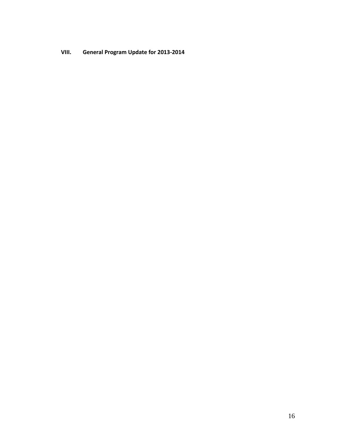**VIII. General Program Update for 2013-2014**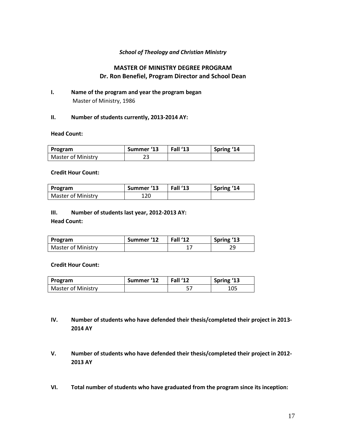## *School of Theology and Christian Ministry*

## **MASTER OF MINISTRY DEGREE PROGRAM Dr. Ron Benefiel, Program Director and School Dean**

**I. Name of the program and year the program began** Master of Ministry, 1986

#### **II. Number of students currently, 2013-2014 AY:**

#### **Head Count:**

| Program            | Summer '13 | Fall '13 | Spring '14 |
|--------------------|------------|----------|------------|
| Master of Ministry | ر _        |          |            |

#### **Credit Hour Count:**

| Program            | Summer '13 | Fall '13 | Spring '14 |
|--------------------|------------|----------|------------|
| Master of Ministry | 120        |          |            |

## **III. Number of students last year, 2012-2013 AY:**

## **Head Count:**

| Program                   | Summer '12 | Fall '12 | Spring '13 |
|---------------------------|------------|----------|------------|
| <b>Master of Ministry</b> |            |          |            |

#### **Credit Hour Count:**

| Program            | Summer '12 | Fall '12 | Spring '13 |
|--------------------|------------|----------|------------|
| Master of Ministry |            | ر        | 105        |

- **IV. Number of students who have defended their thesis/completed their project in 2013- 2014 AY**
- **V. Number of students who have defended their thesis/completed their project in 2012- 2013 AY**
- **VI. Total number of students who have graduated from the program since its inception:**